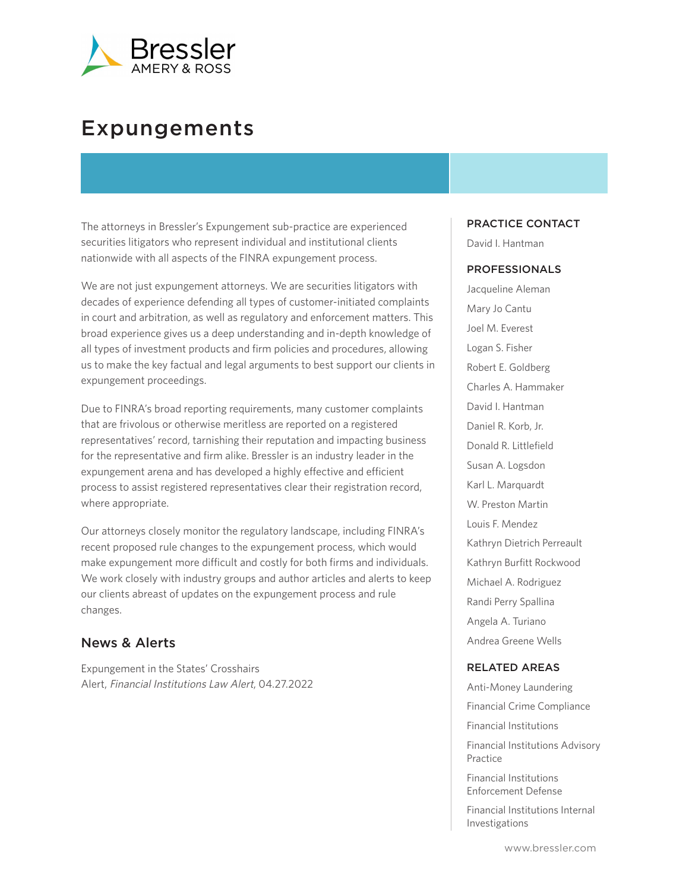

# Expungements

The attorneys in Bressler's Expungement sub-practice are experienced securities litigators who represent individual and institutional clients nationwide with all aspects of the FINRA expungement process.

We are not just expungement attorneys. We are securities litigators with decades of experience defending all types of customer-initiated complaints in court and arbitration, as well as regulatory and enforcement matters. This broad experience gives us a deep understanding and in-depth knowledge of all types of investment products and firm policies and procedures, allowing us to make the key factual and legal arguments to best support our clients in expungement proceedings.

Due to FINRA's broad reporting requirements, many customer complaints that are frivolous or otherwise meritless are reported on a registered representatives' record, tarnishing their reputation and impacting business for the representative and firm alike. Bressler is an industry leader in the expungement arena and has developed a highly effective and efficient process to assist registered representatives clear their registration record, where appropriate.

Our attorneys closely monitor the regulatory landscape, including FINRA's recent proposed rule changes to the expungement process, which would make expungement more difficult and costly for both firms and individuals. We work closely with industry groups and author articles and alerts to keep our clients abreast of updates on the expungement process and rule changes.

## News & Alerts

Expungement in the States' Crosshairs Alert, Financial Institutions Law Alert, 04.27.2022

#### PRACTICE CONTACT

David I. Hantman

#### PROFESSIONALS

Jacqueline Aleman Mary Jo Cantu Joel M. Everest Logan S. Fisher Robert E. Goldberg Charles A. Hammaker David I. Hantman Daniel R. Korb, Jr. Donald R. Littlefield Susan A. Logsdon Karl L. Marquardt W. Preston Martin Louis F. Mendez Kathryn Dietrich Perreault Kathryn Burfitt Rockwood Michael A. Rodriguez Randi Perry Spallina Angela A. Turiano Andrea Greene Wells

#### RELATED AREAS

Anti-Money Laundering Financial Crime Compliance Financial Institutions Financial Institutions Advisory Practice Financial Institutions Enforcement Defense

Financial Institutions Internal Investigations